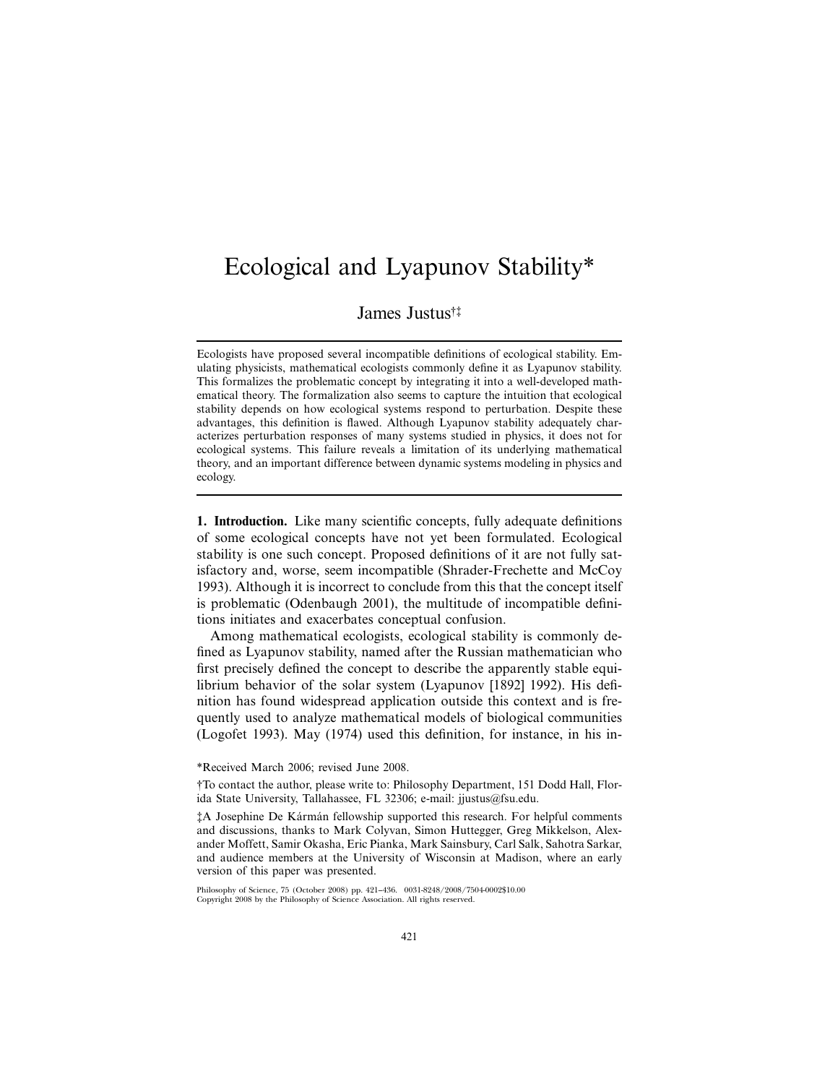# Ecological and Lyapunov Stability\*

James Justus†‡

Ecologists have proposed several incompatible definitions of ecological stability. Emulating physicists, mathematical ecologists commonly define it as Lyapunov stability. This formalizes the problematic concept by integrating it into a well-developed mathematical theory. The formalization also seems to capture the intuition that ecological stability depends on how ecological systems respond to perturbation. Despite these advantages, this definition is flawed. Although Lyapunov stability adequately characterizes perturbation responses of many systems studied in physics, it does not for ecological systems. This failure reveals a limitation of its underlying mathematical theory, and an important difference between dynamic systems modeling in physics and ecology.

**1. Introduction.** Like many scientific concepts, fully adequate definitions of some ecological concepts have not yet been formulated. Ecological stability is one such concept. Proposed definitions of it are not fully satisfactory and, worse, seem incompatible (Shrader-Frechette and McCoy 1993). Although it is incorrect to conclude from this that the concept itself is problematic (Odenbaugh 2001), the multitude of incompatible definitions initiates and exacerbates conceptual confusion.

Among mathematical ecologists, ecological stability is commonly defined as Lyapunov stability, named after the Russian mathematician who first precisely defined the concept to describe the apparently stable equilibrium behavior of the solar system (Lyapunov [1892] 1992). His definition has found widespread application outside this context and is frequently used to analyze mathematical models of biological communities (Logofet 1993). May (1974) used this definition, for instance, in his in-

\*Received March 2006; revised June 2008.

†To contact the author, please write to: Philosophy Department, 151 Dodd Hall, Florida State University, Tallahassee, FL 32306; e-mail: jjustus@fsu.edu.

 $\ddagger$ A Josephine De Kármán fellowship supported this research. For helpful comments and discussions, thanks to Mark Colyvan, Simon Huttegger, Greg Mikkelson, Alexander Moffett, Samir Okasha, Eric Pianka, Mark Sainsbury, Carl Salk, Sahotra Sarkar, and audience members at the University of Wisconsin at Madison, where an early version of this paper was presented.

Philosophy of Science, 75 (October 2008) pp. 421–436. 0031-8248/2008/7504-0002\$10.00 Copyright 2008 by the Philosophy of Science Association. All rights reserved.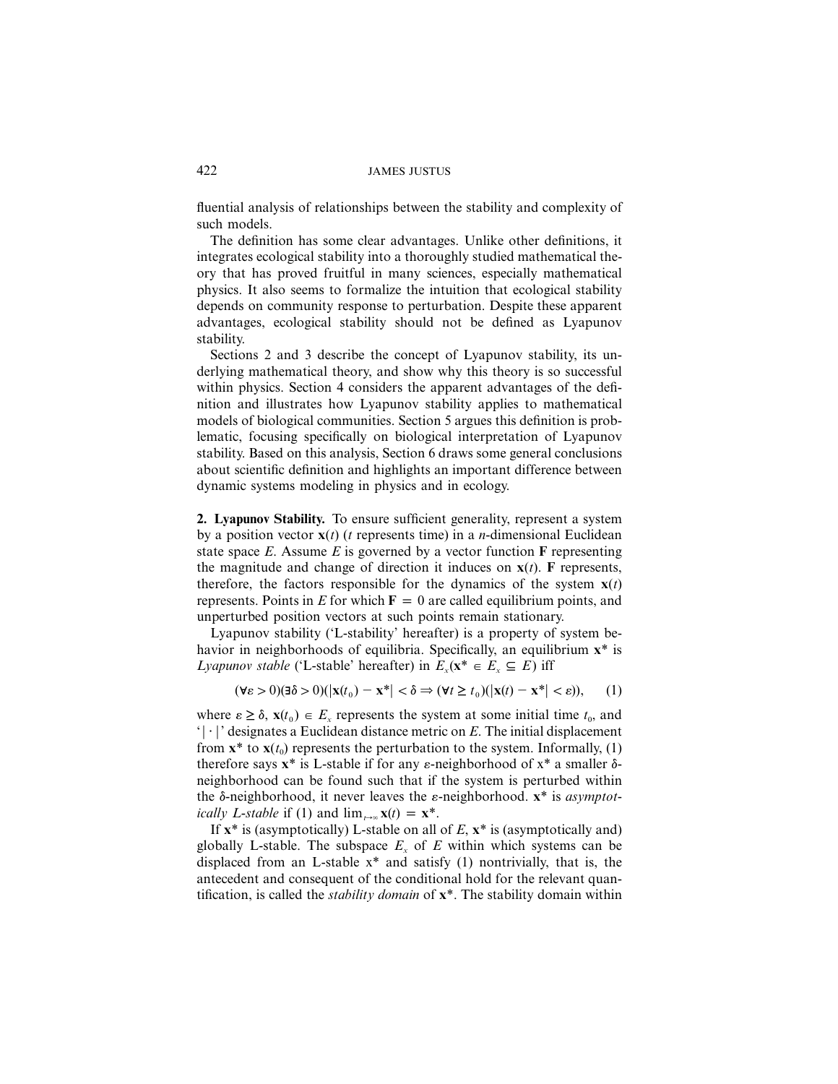fluential analysis of relationships between the stability and complexity of such models.

The definition has some clear advantages. Unlike other definitions, it integrates ecological stability into a thoroughly studied mathematical theory that has proved fruitful in many sciences, especially mathematical physics. It also seems to formalize the intuition that ecological stability depends on community response to perturbation. Despite these apparent advantages, ecological stability should not be defined as Lyapunov stability.

Sections 2 and 3 describe the concept of Lyapunov stability, its underlying mathematical theory, and show why this theory is so successful within physics. Section 4 considers the apparent advantages of the definition and illustrates how Lyapunov stability applies to mathematical models of biological communities. Section 5 argues this definition is problematic, focusing specifically on biological interpretation of Lyapunov stability. Based on this analysis, Section 6 draws some general conclusions about scientific definition and highlights an important difference between dynamic systems modeling in physics and in ecology.

**2. Lyapunov Stability.** To ensure sufficient generality, represent a system by a position vector **x**(*t*) (*t* represents time) in a *n*-dimensional Euclidean state space *E*. Assume *E* is governed by a vector function **F** representing the magnitude and change of direction it induces on  $\mathbf{x}(t)$ . **F** represents, therefore, the factors responsible for the dynamics of the system  $\mathbf{x}(t)$ represents. Points in *E* for which  $\mathbf{F} = 0$  are called equilibrium points, and unperturbed position vectors at such points remain stationary.

Lyapunov stability ('L-stability' hereafter) is a property of system behavior in neighborhoods of equilibria. Specifically, an equilibrium **x**\* is *Lyapunov stable* ('L-stable' hereafter) in  $E_x(\mathbf{x}^* \in E_x \subseteq E)$  iff

$$
(\forall \varepsilon > 0)(\exists \delta > 0)(|\mathbf{x}(t_0) - \mathbf{x}^*| < \delta \Rightarrow (\forall t \ge t_0)(|\mathbf{x}(t) - \mathbf{x}^*| < \varepsilon)), \qquad (1)
$$

where  $\varepsilon \geq \delta$ ,  $\mathbf{x}(t_0) \in E_x$  represents the system at some initial time  $t_0$ , and  $\lceil \cdot \rceil$ ' designates a Euclidean distance metric on *E*. The initial displacement from  $\mathbf{x}^*$  to  $\mathbf{x}(t_0)$  represents the perturbation to the system. Informally, (1) therefore says  $x^*$  is L-stable if for any  $\varepsilon$ -neighborhood of  $x^*$  a smaller  $\delta$ neighborhood can be found such that if the system is perturbed within the δ-neighborhood, it never leaves the ε-neighborhood. **x**<sup>\*</sup> is *asymptotically L-stable* if (1) and  $\lim_{t\to\infty} \mathbf{x}(t) = \mathbf{x}^*$ .

If **x**\* is (asymptotically) L-stable on all of *E*, **x**\* is (asymptotically and) globally L-stable. The subspace  $E<sub>x</sub>$  of  $E$  within which systems can be displaced from an L-stable  $x^*$  and satisfy (1) nontrivially, that is, the antecedent and consequent of the conditional hold for the relevant quantification, is called the *stability domain* of **x**\*. The stability domain within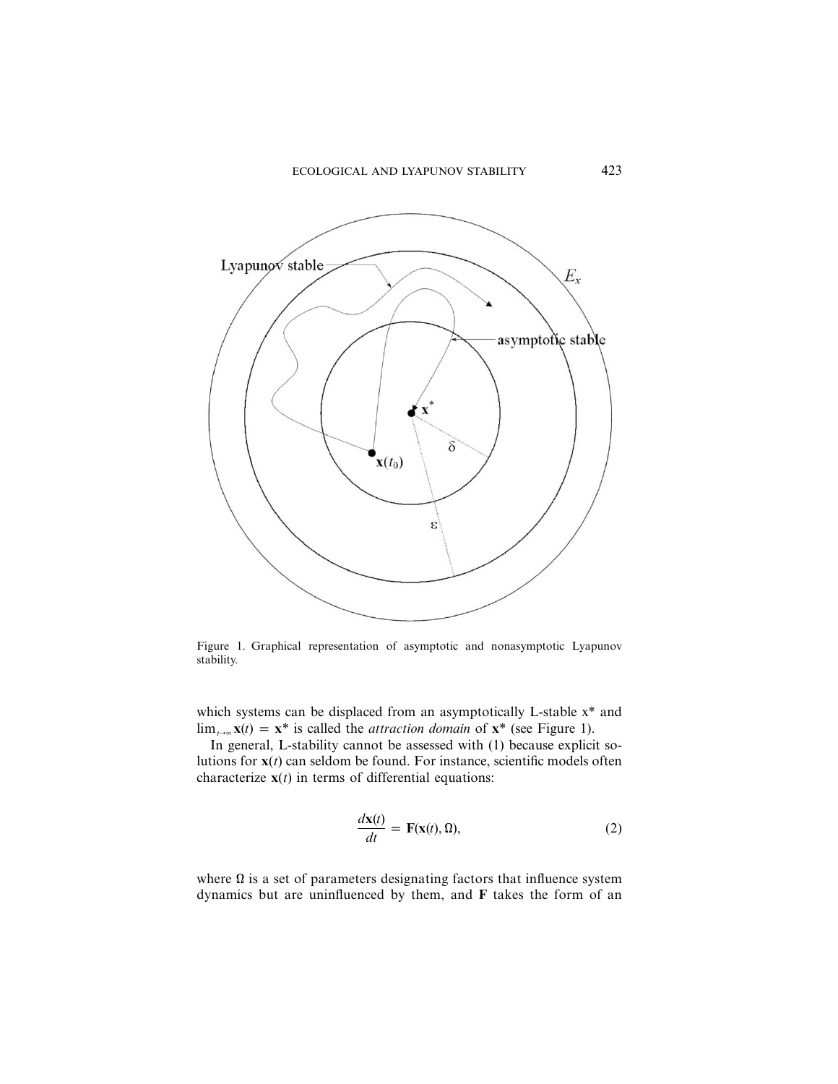

Figure 1. Graphical representation of asymptotic and nonasymptotic Lyapunov stability.

which systems can be displaced from an asymptotically L-stable x\* and  $\lim_{t \to \infty}$ **x**(*t*) = **x**\* is called the *attraction domain* of **x**\* (see Figure 1).

 In general, L-stability cannot be assessed with (1) because explicit solutions for  $\mathbf{x}(t)$  can seldom be found. For instance, scientific models often characterize  $\mathbf{x}(t)$  in terms of differential equations:

$$
\frac{d\mathbf{x}(t)}{dt} = \mathbf{F}(\mathbf{x}(t), \Omega),\tag{2}
$$

where  $\Omega$  is a set of parameters designating factors that influence system dynamics but are uninfluenced by them, and **F** takes the form of an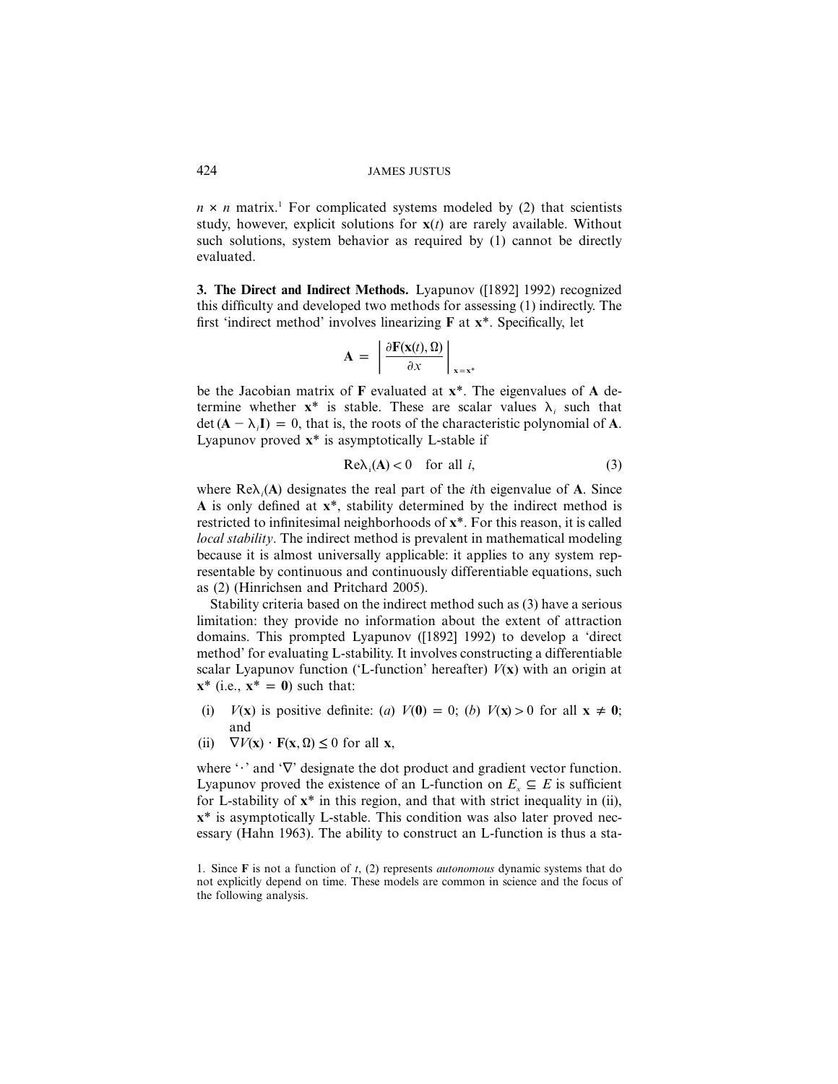$n \times n$  matrix.<sup>1</sup> For complicated systems modeled by (2) that scientists study, however, explicit solutions for  $\mathbf{x}(t)$  are rarely available. Without such solutions, system behavior as required by (1) cannot be directly evaluated.

**3. The Direct and Indirect Methods.** Lyapunov ([1892] 1992) recognized this difficulty and developed two methods for assessing (1) indirectly. The first 'indirect method' involves linearizing **F** at **x**\*. Specifically, let

$$
\mathbf{A} = \left| \frac{\partial \mathbf{F}(\mathbf{x}(t), \Omega)}{\partial x} \right|_{\mathbf{x} = \mathbf{x}^*}
$$

be the Jacobian matrix of **F** evaluated at **x**\*. The eigenvalues of **A** determine whether  $x^*$  is stable. These are scalar values  $\lambda_i$  such that  $\det(A - \lambda_i I) = 0$ , that is, the roots of the characteristic polynomial of **A**. Lyapunov proved **x**\* is asymptotically L-stable if

$$
Re\lambda_i(A) < 0 \quad \text{for all } i,\tag{3}
$$

where  $\text{Re}\lambda_i(\mathbf{A})$  designates the real part of the *i*th eigenvalue of **A**. Since **A** is only defined at **x**\*, stability determined by the indirect method is restricted to infinitesimal neighborhoods of **x**\*. For this reason, it is called *local stability*. The indirect method is prevalent in mathematical modeling because it is almost universally applicable: it applies to any system representable by continuous and continuously differentiable equations, such as (2) (Hinrichsen and Pritchard 2005).

Stability criteria based on the indirect method such as (3) have a serious limitation: they provide no information about the extent of attraction domains. This prompted Lyapunov ([1892] 1992) to develop a 'direct method' for evaluating L-stability. It involves constructing a differentiable scalar Lyapunov function ('L-function' hereafter)  $V(x)$  with an origin at  $\mathbf{x}^*$  (i.e.,  $\mathbf{x}^* = \mathbf{0}$ ) such that:

- (i)  $V(\mathbf{x})$  is positive definite: (*a*)  $V(\mathbf{0}) = 0$ ; (*b*)  $V(\mathbf{x}) > 0$  for all  $\mathbf{x} \neq \mathbf{0}$ ; and
- (ii)  $\nabla V(\mathbf{x}) \cdot \mathbf{F}(\mathbf{x}, \Omega) \leq 0$  for all **x**,

where '·' and ' $∇$ ' designate the dot product and gradient vector function. Lyapunov proved the existence of an L-function on  $E_x \subseteq E$  is sufficient for L-stability of **x**\* in this region, and that with strict inequality in (ii), **x**\* is asymptotically L-stable. This condition was also later proved necessary (Hahn 1963). The ability to construct an L-function is thus a sta-

<sup>1.</sup> Since **F** is not a function of *t*, (2) represents *autonomous* dynamic systems that do not explicitly depend on time. These models are common in science and the focus of the following analysis.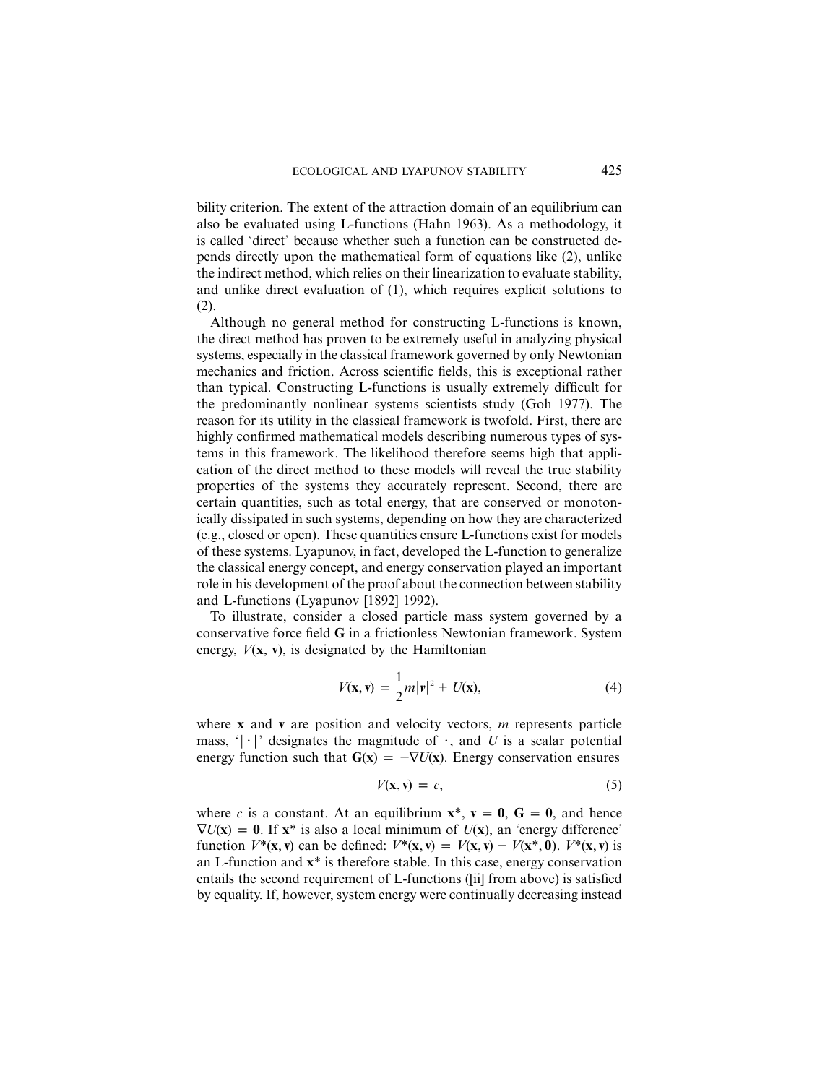bility criterion. The extent of the attraction domain of an equilibrium can also be evaluated using L-functions (Hahn 1963). As a methodology, it is called 'direct' because whether such a function can be constructed depends directly upon the mathematical form of equations like (2), unlike the indirect method, which relies on their linearization to evaluate stability, and unlike direct evaluation of (1), which requires explicit solutions to (2).

Although no general method for constructing L-functions is known, the direct method has proven to be extremely useful in analyzing physical systems, especially in the classical framework governed by only Newtonian mechanics and friction. Across scientific fields, this is exceptional rather than typical. Constructing L-functions is usually extremely difficult for the predominantly nonlinear systems scientists study (Goh 1977). The reason for its utility in the classical framework is twofold. First, there are highly confirmed mathematical models describing numerous types of systems in this framework. The likelihood therefore seems high that application of the direct method to these models will reveal the true stability properties of the systems they accurately represent. Second, there are certain quantities, such as total energy, that are conserved or monotonically dissipated in such systems, depending on how they are characterized (e.g., closed or open). These quantities ensure L-functions exist for models of these systems. Lyapunov, in fact, developed the L-function to generalize the classical energy concept, and energy conservation played an important role in his development of the proof about the connection between stability and L-functions (Lyapunov [1892] 1992).

To illustrate, consider a closed particle mass system governed by a conservative force field **G** in a frictionless Newtonian framework. System energy,  $V(\mathbf{x}, \mathbf{v})$ , is designated by the Hamiltonian

$$
V(\mathbf{x}, \mathbf{v}) = \frac{1}{2}m|\mathbf{v}|^2 + U(\mathbf{x}),
$$
 (4)

where **x** and **v** are position and velocity vectors, *m* represents particle mass, ' $|\cdot|$ ' designates the magnitude of  $\cdot$ , and *U* is a scalar potential energy function such that  $G(x) = -\nabla U(x)$ . Energy conservation ensures

$$
V(\mathbf{x}, \mathbf{v}) = c,\tag{5}
$$

where *c* is a constant. At an equilibrium  $x^*$ ,  $y = 0$ ,  $G = 0$ , and hence  $\nabla U(\mathbf{x}) = \mathbf{0}$ . If  $\mathbf{x}^*$  is also a local minimum of  $U(\mathbf{x})$ , an 'energy difference' function  $V^*(\mathbf{x}, \mathbf{v})$  can be defined:  $V^*(\mathbf{x}, \mathbf{v}) = V(\mathbf{x}, \mathbf{v}) - V(\mathbf{x}^*, 0)$ .  $V^*(\mathbf{x}, \mathbf{v})$  is an L-function and **x**\* is therefore stable. In this case, energy conservation entails the second requirement of L-functions ([ii] from above) is satisfied by equality. If, however, system energy were continually decreasing instead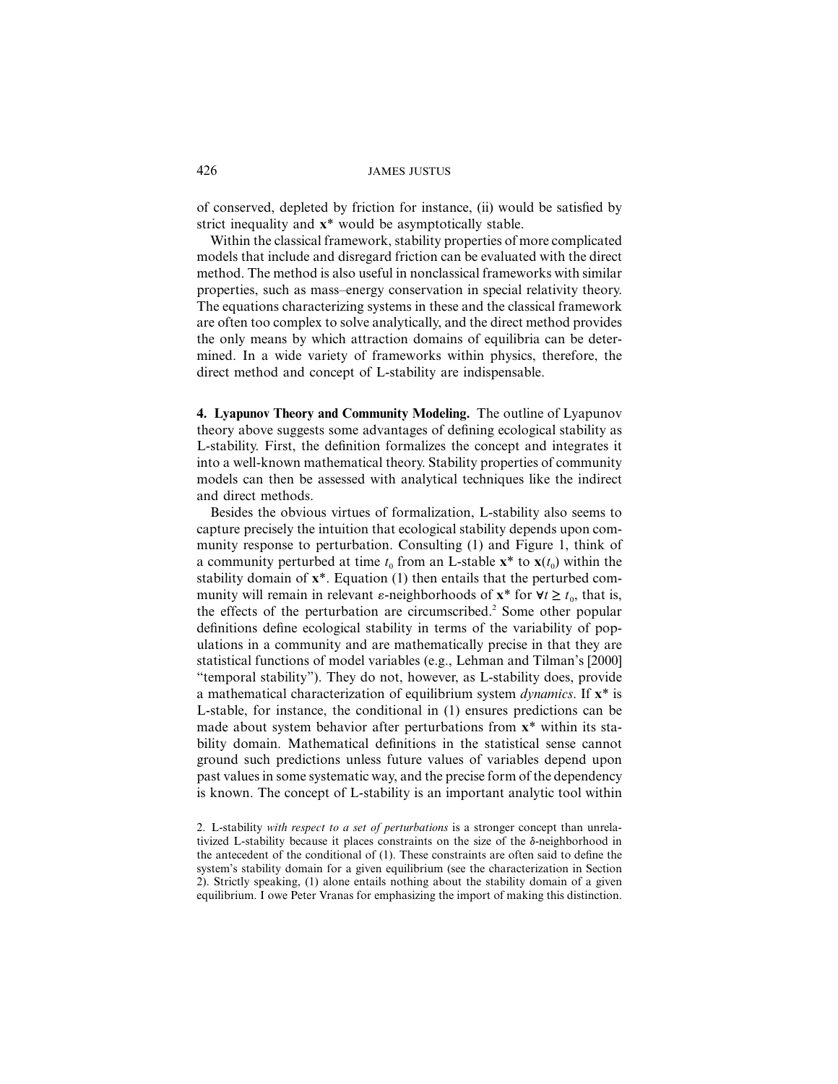of conserved, depleted by friction for instance, (ii) would be satisfied by strict inequality and **x**\* would be asymptotically stable.

Within the classical framework, stability properties of more complicated models that include and disregard friction can be evaluated with the direct method. The method is also useful in nonclassical frameworks with similar properties, such as mass–energy conservation in special relativity theory. The equations characterizing systems in these and the classical framework are often too complex to solve analytically, and the direct method provides the only means by which attraction domains of equilibria can be determined. In a wide variety of frameworks within physics, therefore, the direct method and concept of L-stability are indispensable.

**4. Lyapunov Theory and Community Modeling.** The outline of Lyapunov theory above suggests some advantages of defining ecological stability as L-stability. First, the definition formalizes the concept and integrates it into a well-known mathematical theory. Stability properties of community models can then be assessed with analytical techniques like the indirect and direct methods.

Besides the obvious virtues of formalization, L-stability also seems to capture precisely the intuition that ecological stability depends upon community response to perturbation. Consulting (1) and Figure 1, think of a community perturbed at time  $t_0$  from an L-stable  $\mathbf{x}^*$  to  $\mathbf{x}(t_0)$  within the stability domain of **x**\*. Equation (1) then entails that the perturbed community will remain in relevant  $\varepsilon$ -neighborhoods of  $\mathbf{x}^*$  for  $\forall t \geq t_0$ , that is, the effects of the perturbation are circumscribed.<sup>2</sup> Some other popular definitions define ecological stability in terms of the variability of populations in a community and are mathematically precise in that they are statistical functions of model variables (e.g., Lehman and Tilman's [2000] "temporal stability"). They do not, however, as L-stability does, provide a mathematical characterization of equilibrium system *dynamics*. If **x**\* is L-stable, for instance, the conditional in (1) ensures predictions can be made about system behavior after perturbations from **x**\* within its stability domain. Mathematical definitions in the statistical sense cannot ground such predictions unless future values of variables depend upon past values in some systematic way, and the precise form of the dependency is known. The concept of L-stability is an important analytic tool within

<sup>2.</sup> L-stability *with respect to a set of perturbations* is a stronger concept than unrelativized L-stability because it places constraints on the size of the  $\delta$ -neighborhood in the antecedent of the conditional of (1). These constraints are often said to define the system's stability domain for a given equilibrium (see the characterization in Section 2). Strictly speaking, (1) alone entails nothing about the stability domain of a given equilibrium. I owe Peter Vranas for emphasizing the import of making this distinction.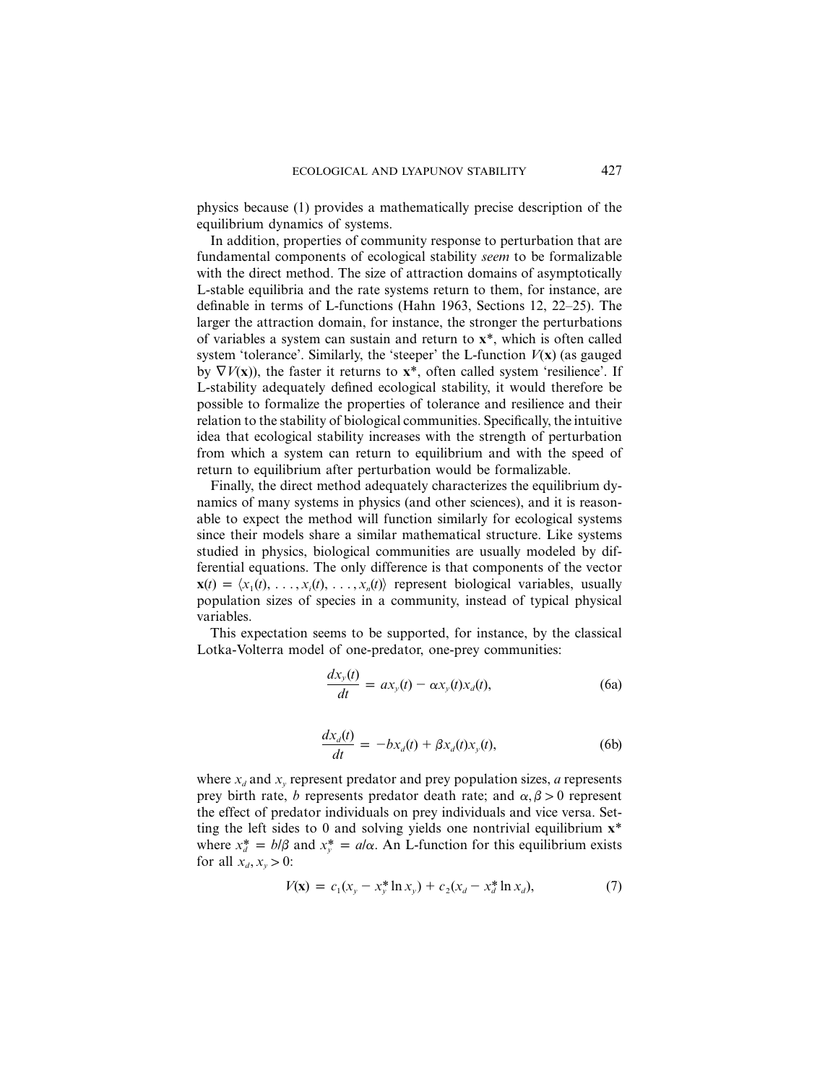physics because (1) provides a mathematically precise description of the equilibrium dynamics of systems.

In addition, properties of community response to perturbation that are fundamental components of ecological stability *seem* to be formalizable with the direct method. The size of attraction domains of asymptotically L-stable equilibria and the rate systems return to them, for instance, are definable in terms of L-functions (Hahn 1963, Sections 12, 22–25). The larger the attraction domain, for instance, the stronger the perturbations of variables a system can sustain and return to **x**\*, which is often called system 'tolerance'. Similarly, the 'steeper' the L-function  $V(x)$  (as gauged by  $\nabla$ *V*(**x**)), the faster it returns to **x**<sup>\*</sup>, often called system 'resilience'. If L-stability adequately defined ecological stability, it would therefore be possible to formalize the properties of tolerance and resilience and their relation to the stability of biological communities. Specifically, the intuitive idea that ecological stability increases with the strength of perturbation from which a system can return to equilibrium and with the speed of return to equilibrium after perturbation would be formalizable.

Finally, the direct method adequately characterizes the equilibrium dynamics of many systems in physics (and other sciences), and it is reasonable to expect the method will function similarly for ecological systems since their models share a similar mathematical structure. Like systems studied in physics, biological communities are usually modeled by differential equations. The only difference is that components of the vector  $\mathbf{x}(t) = \langle x_1(t), \ldots, x_i(t), \ldots, x_n(t) \rangle$  represent biological variables, usually population sizes of species in a community, instead of typical physical variables.

This expectation seems to be supported, for instance, by the classical Lotka-Volterra model of one-predator, one-prey communities:

$$
\frac{dx_y(t)}{dt} = ax_y(t) - \alpha x_y(t)x_d(t),
$$
\n(6a)

$$
\frac{dx_a(t)}{dt} = -bx_a(t) + \beta x_a(t)x_y(t),
$$
\n(6b)

where  $x_d$  and  $x_y$  represent predator and prey population sizes, *a* represents prey birth rate, *b* represents predator death rate; and  $\alpha$ ,  $\beta$  > 0 represent the effect of predator individuals on prey individuals and vice versa. Setting the left sides to 0 and solving yields one nontrivial equilibrium **x**\* where  $x_d^* = b/\beta$  and  $x_v^* = a/\alpha$ . An L-function for this equilibrium exists for all  $x_d$ ,  $x_v > 0$ :

$$
V(\mathbf{x}) = c_1(x_y - x_y^* \ln x_y) + c_2(x_d - x_d^* \ln x_d), \tag{7}
$$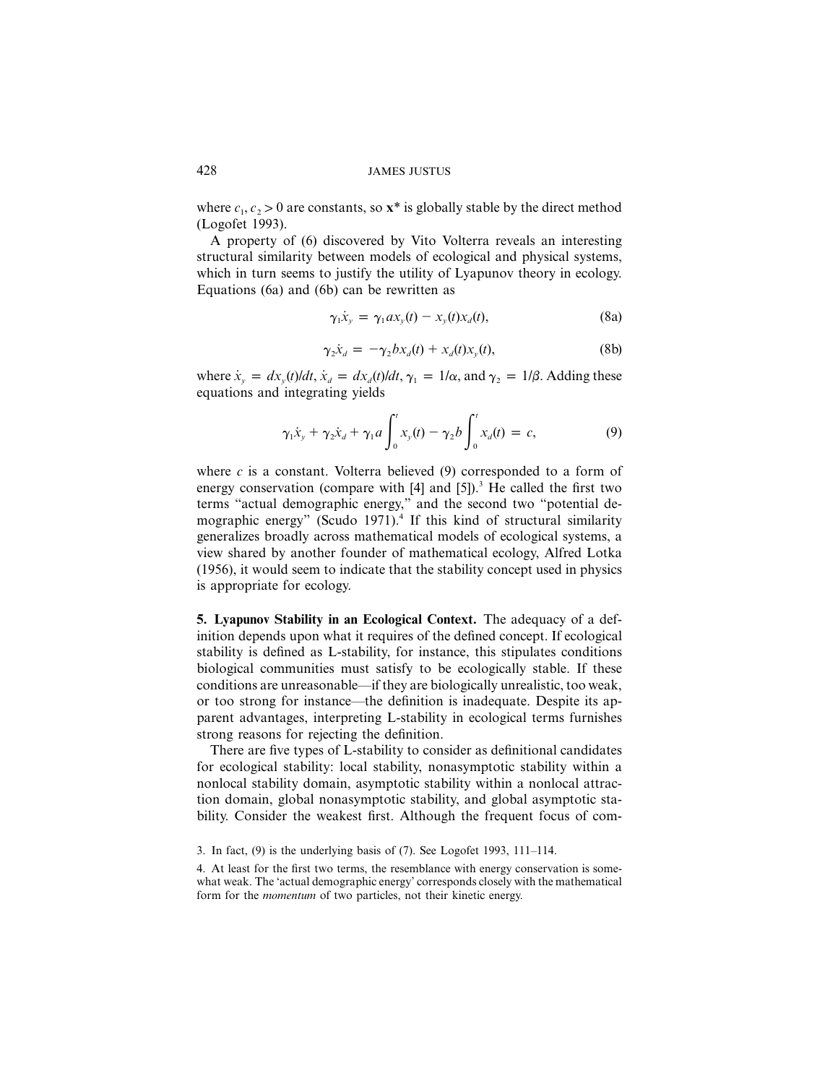where  $c_1, c_2 > 0$  are constants, so  $\mathbf{x}^*$  is globally stable by the direct method (Logofet 1993).

A property of (6) discovered by Vito Volterra reveals an interesting structural similarity between models of ecological and physical systems, which in turn seems to justify the utility of Lyapunov theory in ecology. Equations (6a) and (6b) can be rewritten as

$$
\gamma_1 \dot{x}_y = \gamma_1 a x_y(t) - x_y(t) x_d(t), \qquad (8a)
$$

$$
\gamma_2 \dot{x}_d = -\gamma_2 bx_d(t) + x_d(t)x_y(t), \qquad (8b)
$$

where  $\dot{x}_y = dx_y(t)dt$ ,  $\dot{x}_d = dx_d(t)dt$ ,  $\gamma_1 = 1/\alpha$ , and  $\gamma_2 = 1/\beta$ . Adding these equations and integrating yields

$$
\gamma_1 \dot{x}_y + \gamma_2 \dot{x}_d + \gamma_1 a \int_0^t x_y(t) - \gamma_2 b \int_0^t x_d(t) = c,
$$
 (9)

where  $c$  is a constant. Volterra believed  $(9)$  corresponded to a form of energy conservation (compare with  $[4]$  and  $[5]$ ).<sup>3</sup> He called the first two terms "actual demographic energy," and the second two "potential demographic energy" (Scudo 1971).4 If this kind of structural similarity generalizes broadly across mathematical models of ecological systems, a view shared by another founder of mathematical ecology, Alfred Lotka (1956), it would seem to indicate that the stability concept used in physics is appropriate for ecology.

**5. Lyapunov Stability in an Ecological Context.** The adequacy of a definition depends upon what it requires of the defined concept. If ecological stability is defined as L-stability, for instance, this stipulates conditions biological communities must satisfy to be ecologically stable. If these conditions are unreasonable—if they are biologically unrealistic, too weak, or too strong for instance—the definition is inadequate. Despite its apparent advantages, interpreting L-stability in ecological terms furnishes strong reasons for rejecting the definition.

There are five types of L-stability to consider as definitional candidates for ecological stability: local stability, nonasymptotic stability within a nonlocal stability domain, asymptotic stability within a nonlocal attraction domain, global nonasymptotic stability, and global asymptotic stability. Consider the weakest first. Although the frequent focus of com-

<sup>3.</sup> In fact, (9) is the underlying basis of (7). See Logofet 1993, 111–114.

<sup>4.</sup> At least for the first two terms, the resemblance with energy conservation is somewhat weak. The 'actual demographic energy' corresponds closely with the mathematical form for the *momentum* of two particles, not their kinetic energy.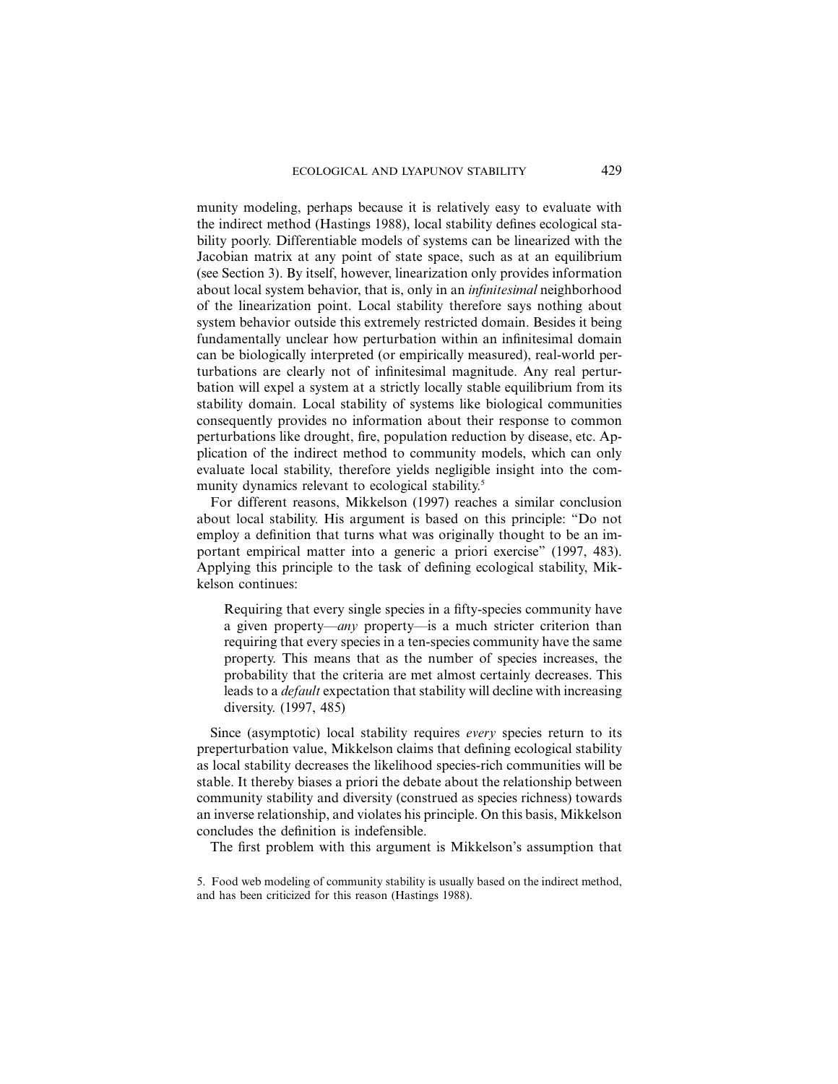munity modeling, perhaps because it is relatively easy to evaluate with the indirect method (Hastings 1988), local stability defines ecological stability poorly. Differentiable models of systems can be linearized with the Jacobian matrix at any point of state space, such as at an equilibrium (see Section 3). By itself, however, linearization only provides information about local system behavior, that is, only in an *infinitesimal* neighborhood of the linearization point. Local stability therefore says nothing about system behavior outside this extremely restricted domain. Besides it being fundamentally unclear how perturbation within an infinitesimal domain can be biologically interpreted (or empirically measured), real-world perturbations are clearly not of infinitesimal magnitude. Any real perturbation will expel a system at a strictly locally stable equilibrium from its stability domain. Local stability of systems like biological communities consequently provides no information about their response to common perturbations like drought, fire, population reduction by disease, etc. Application of the indirect method to community models, which can only evaluate local stability, therefore yields negligible insight into the community dynamics relevant to ecological stability.<sup>5</sup>

For different reasons, Mikkelson (1997) reaches a similar conclusion about local stability. His argument is based on this principle: "Do not employ a definition that turns what was originally thought to be an important empirical matter into a generic a priori exercise" (1997, 483). Applying this principle to the task of defining ecological stability, Mikkelson continues:

Requiring that every single species in a fifty-species community have a given property—*any* property—is a much stricter criterion than requiring that every species in a ten-species community have the same property. This means that as the number of species increases, the probability that the criteria are met almost certainly decreases. This leads to a *default* expectation that stability will decline with increasing diversity. (1997, 485)

Since (asymptotic) local stability requires *every* species return to its preperturbation value, Mikkelson claims that defining ecological stability as local stability decreases the likelihood species-rich communities will be stable. It thereby biases a priori the debate about the relationship between community stability and diversity (construed as species richness) towards an inverse relationship, and violates his principle. On this basis, Mikkelson concludes the definition is indefensible.

The first problem with this argument is Mikkelson's assumption that

<sup>5.</sup> Food web modeling of community stability is usually based on the indirect method, and has been criticized for this reason (Hastings 1988).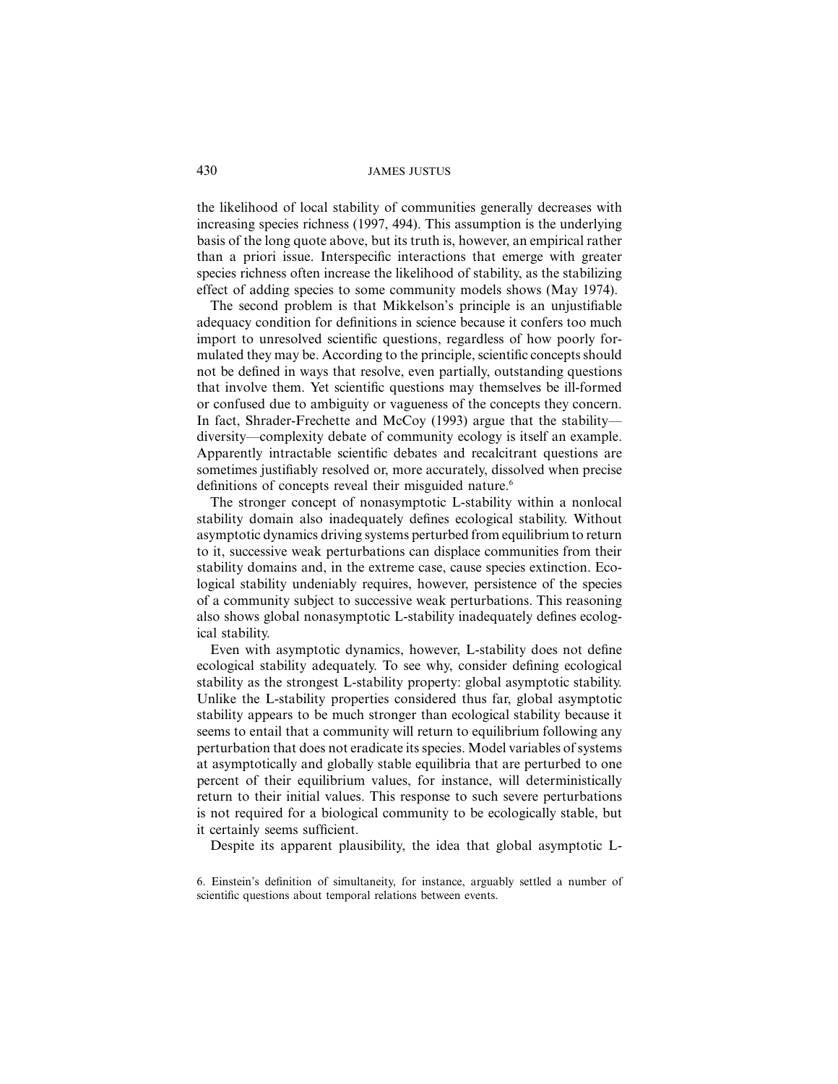the likelihood of local stability of communities generally decreases with increasing species richness (1997, 494). This assumption is the underlying basis of the long quote above, but its truth is, however, an empirical rather than a priori issue. Interspecific interactions that emerge with greater species richness often increase the likelihood of stability, as the stabilizing effect of adding species to some community models shows (May 1974).

The second problem is that Mikkelson's principle is an unjustifiable adequacy condition for definitions in science because it confers too much import to unresolved scientific questions, regardless of how poorly formulated they may be. According to the principle, scientific concepts should not be defined in ways that resolve, even partially, outstanding questions that involve them. Yet scientific questions may themselves be ill-formed or confused due to ambiguity or vagueness of the concepts they concern. In fact, Shrader-Frechette and McCoy (1993) argue that the stability diversity—complexity debate of community ecology is itself an example. Apparently intractable scientific debates and recalcitrant questions are sometimes justifiably resolved or, more accurately, dissolved when precise definitions of concepts reveal their misguided nature.<sup>6</sup>

The stronger concept of nonasymptotic L-stability within a nonlocal stability domain also inadequately defines ecological stability. Without asymptotic dynamics driving systems perturbed from equilibrium to return to it, successive weak perturbations can displace communities from their stability domains and, in the extreme case, cause species extinction. Ecological stability undeniably requires, however, persistence of the species of a community subject to successive weak perturbations. This reasoning also shows global nonasymptotic L-stability inadequately defines ecological stability.

Even with asymptotic dynamics, however, L-stability does not define ecological stability adequately. To see why, consider defining ecological stability as the strongest L-stability property: global asymptotic stability. Unlike the L-stability properties considered thus far, global asymptotic stability appears to be much stronger than ecological stability because it seems to entail that a community will return to equilibrium following any perturbation that does not eradicate its species. Model variables of systems at asymptotically and globally stable equilibria that are perturbed to one percent of their equilibrium values, for instance, will deterministically return to their initial values. This response to such severe perturbations is not required for a biological community to be ecologically stable, but it certainly seems sufficient.

Despite its apparent plausibility, the idea that global asymptotic L-

<sup>6.</sup> Einstein's definition of simultaneity, for instance, arguably settled a number of scientific questions about temporal relations between events.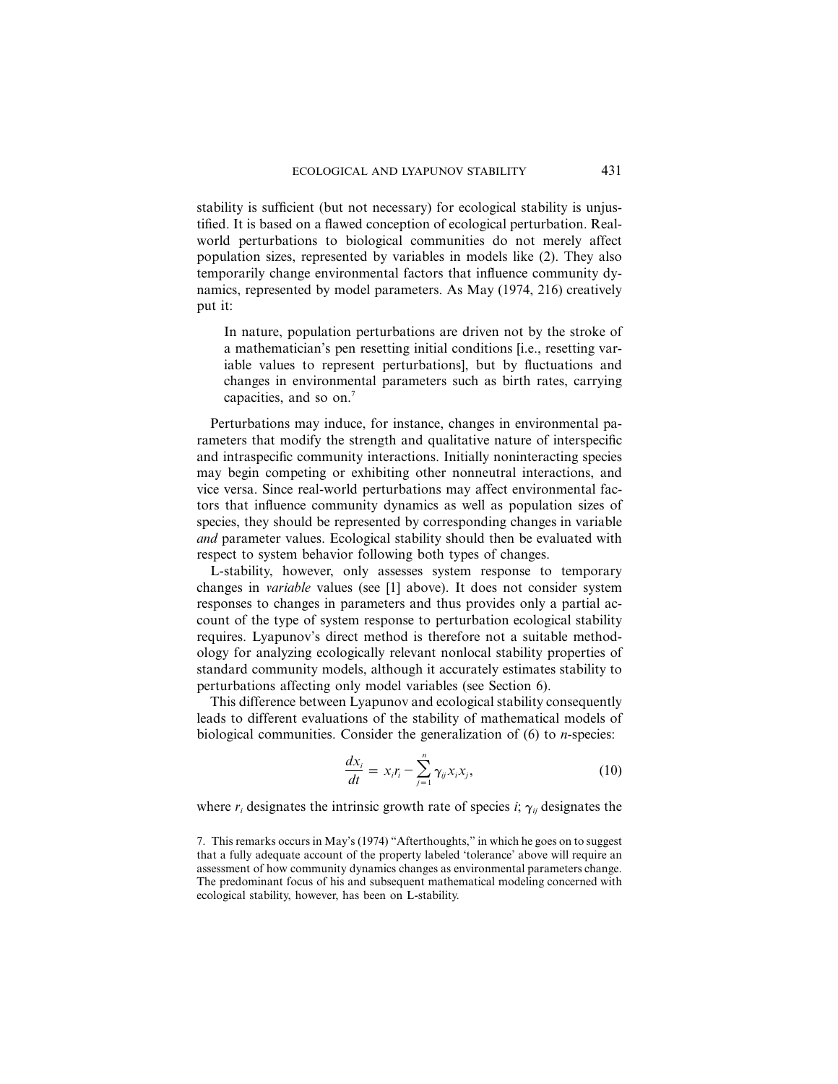stability is sufficient (but not necessary) for ecological stability is unjustified. It is based on a flawed conception of ecological perturbation. Realworld perturbations to biological communities do not merely affect population sizes, represented by variables in models like (2). They also temporarily change environmental factors that influence community dynamics, represented by model parameters. As May (1974, 216) creatively put it:

In nature, population perturbations are driven not by the stroke of a mathematician's pen resetting initial conditions [i.e., resetting variable values to represent perturbations], but by fluctuations and changes in environmental parameters such as birth rates, carrying capacities, and so on.7

Perturbations may induce, for instance, changes in environmental parameters that modify the strength and qualitative nature of interspecific and intraspecific community interactions. Initially noninteracting species may begin competing or exhibiting other nonneutral interactions, and vice versa. Since real-world perturbations may affect environmental factors that influence community dynamics as well as population sizes of species, they should be represented by corresponding changes in variable *and* parameter values. Ecological stability should then be evaluated with respect to system behavior following both types of changes.

L-stability, however, only assesses system response to temporary changes in *variable* values (see [1] above). It does not consider system responses to changes in parameters and thus provides only a partial account of the type of system response to perturbation ecological stability requires. Lyapunov's direct method is therefore not a suitable methodology for analyzing ecologically relevant nonlocal stability properties of standard community models, although it accurately estimates stability to perturbations affecting only model variables (see Section 6).

This difference between Lyapunov and ecological stability consequently leads to different evaluations of the stability of mathematical models of biological communities. Consider the generalization of (6) to *n*-species:

$$
\frac{dx_i}{dt} = x_i r_i - \sum_{j=1}^n \gamma_{ij} x_i x_j,
$$
\n(10)

where  $r_i$  designates the intrinsic growth rate of species *i*;  $\gamma_{ij}$  designates the

<sup>7.</sup> This remarks occurs in May's (1974) "Afterthoughts," in which he goes on to suggest that a fully adequate account of the property labeled 'tolerance' above will require an assessment of how community dynamics changes as environmental parameters change. The predominant focus of his and subsequent mathematical modeling concerned with ecological stability, however, has been on L-stability.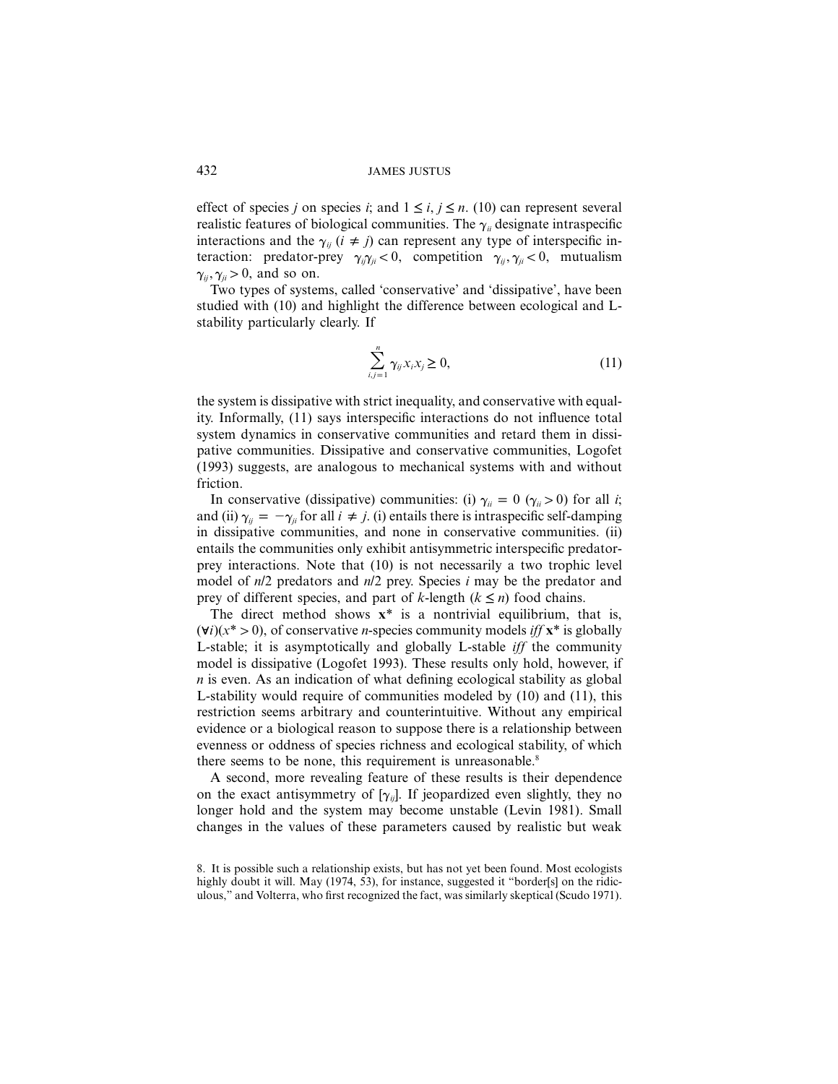effect of species *j* on species *i*; and  $1 \le i, j \le n$ . (10) can represent several realistic features of biological communities. The  $\gamma$ <sub>*ii*</sub> designate intraspecific interactions and the  $\gamma_{ij}$  ( $i \neq j$ ) can represent any type of interspecific interaction: predator-prey  $\gamma_{ij} \gamma_{ji} < 0$ , competition  $\gamma_{ij}, \gamma_{ji} < 0$ , mutualism  $\gamma_{ii}, \gamma_{ii} > 0$ , and so on.

Two types of systems, called 'conservative' and 'dissipative', have been studied with (10) and highlight the difference between ecological and Lstability particularly clearly. If

$$
\sum_{i,j=1}^{n} \gamma_{ij} x_i x_j \ge 0,
$$
\n(11)

the system is dissipative with strict inequality, and conservative with equality. Informally, (11) says interspecific interactions do not influence total system dynamics in conservative communities and retard them in dissipative communities. Dissipative and conservative communities, Logofet (1993) suggests, are analogous to mechanical systems with and without friction.

In conservative (dissipative) communities: (i)  $\gamma_{ii} = 0$  ( $\gamma_{ii} > 0$ ) for all *i*; and (ii)  $\gamma_{ij} = -\gamma_{ji}$  for all  $i \neq j$ . (i) entails there is intraspecific self-damping in dissipative communities, and none in conservative communities. (ii) entails the communities only exhibit antisymmetric interspecific predatorprey interactions. Note that (10) is not necessarily a two trophic level model of  $n/2$  predators and  $n/2$  prey. Species *i* may be the predator and prey of different species, and part of  $k$ -length ( $k \leq n$ ) food chains.

The direct method shows **x**\* is a nontrivial equilibrium, that is,  $(\forall i)(x^* > 0)$ , of conservative *n*-species community models *iff*  $\mathbf{x}^*$  is globally L-stable; it is asymptotically and globally L-stable *iff* the community model is dissipative (Logofet 1993). These results only hold, however, if *n* is even. As an indication of what defining ecological stability as global L-stability would require of communities modeled by (10) and (11), this restriction seems arbitrary and counterintuitive. Without any empirical evidence or a biological reason to suppose there is a relationship between evenness or oddness of species richness and ecological stability, of which there seems to be none, this requirement is unreasonable.<sup>8</sup>

A second, more revealing feature of these results is their dependence on the exact antisymmetry of  $[\gamma_{ij}]$ . If jeopardized even slightly, they no longer hold and the system may become unstable (Levin 1981). Small changes in the values of these parameters caused by realistic but weak

<sup>8.</sup> It is possible such a relationship exists, but has not yet been found. Most ecologists highly doubt it will. May (1974, 53), for instance, suggested it "border[s] on the ridiculous," and Volterra, who first recognized the fact, was similarly skeptical (Scudo 1971).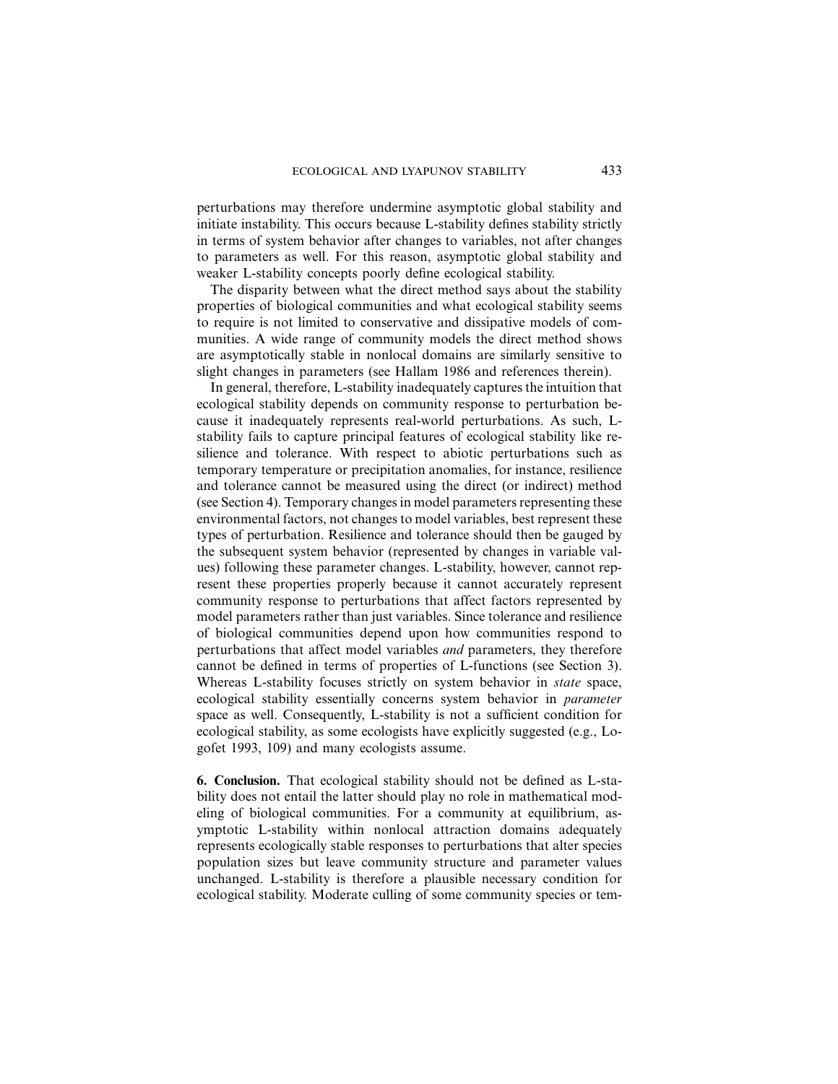perturbations may therefore undermine asymptotic global stability and initiate instability. This occurs because L-stability defines stability strictly in terms of system behavior after changes to variables, not after changes to parameters as well. For this reason, asymptotic global stability and weaker L-stability concepts poorly define ecological stability.

The disparity between what the direct method says about the stability properties of biological communities and what ecological stability seems to require is not limited to conservative and dissipative models of communities. A wide range of community models the direct method shows are asymptotically stable in nonlocal domains are similarly sensitive to slight changes in parameters (see Hallam 1986 and references therein).

In general, therefore, L-stability inadequately captures the intuition that ecological stability depends on community response to perturbation because it inadequately represents real-world perturbations. As such, Lstability fails to capture principal features of ecological stability like resilience and tolerance. With respect to abiotic perturbations such as temporary temperature or precipitation anomalies, for instance, resilience and tolerance cannot be measured using the direct (or indirect) method (see Section 4). Temporary changes in model parameters representing these environmental factors, not changes to model variables, best represent these types of perturbation. Resilience and tolerance should then be gauged by the subsequent system behavior (represented by changes in variable values) following these parameter changes. L-stability, however, cannot represent these properties properly because it cannot accurately represent community response to perturbations that affect factors represented by model parameters rather than just variables. Since tolerance and resilience of biological communities depend upon how communities respond to perturbations that affect model variables *and* parameters, they therefore cannot be defined in terms of properties of L-functions (see Section 3). Whereas L-stability focuses strictly on system behavior in *state* space, ecological stability essentially concerns system behavior in *parameter* space as well. Consequently, L-stability is not a sufficient condition for ecological stability, as some ecologists have explicitly suggested (e.g., Logofet 1993, 109) and many ecologists assume.

**6. Conclusion.** That ecological stability should not be defined as L-stability does not entail the latter should play no role in mathematical modeling of biological communities. For a community at equilibrium, asymptotic L-stability within nonlocal attraction domains adequately represents ecologically stable responses to perturbations that alter species population sizes but leave community structure and parameter values unchanged. L-stability is therefore a plausible necessary condition for ecological stability. Moderate culling of some community species or tem-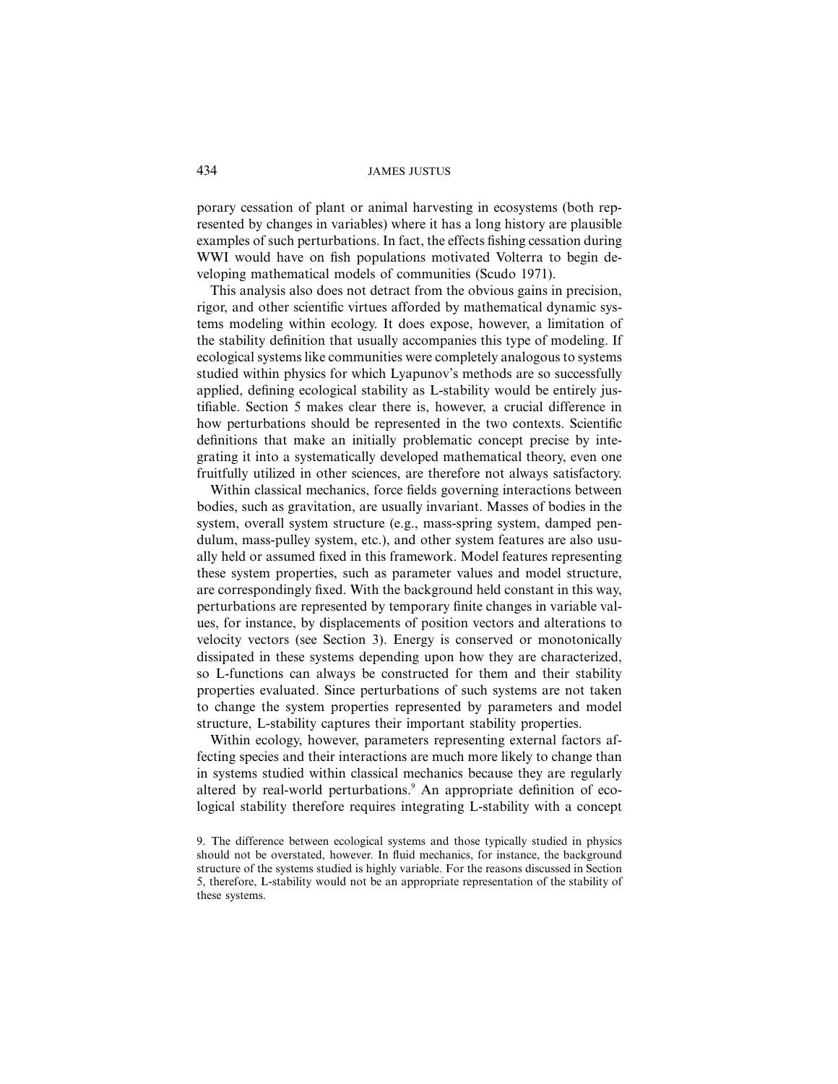porary cessation of plant or animal harvesting in ecosystems (both represented by changes in variables) where it has a long history are plausible examples of such perturbations. In fact, the effects fishing cessation during WWI would have on fish populations motivated Volterra to begin developing mathematical models of communities (Scudo 1971).

This analysis also does not detract from the obvious gains in precision, rigor, and other scientific virtues afforded by mathematical dynamic systems modeling within ecology. It does expose, however, a limitation of the stability definition that usually accompanies this type of modeling. If ecological systems like communities were completely analogous to systems studied within physics for which Lyapunov's methods are so successfully applied, defining ecological stability as L-stability would be entirely justifiable. Section 5 makes clear there is, however, a crucial difference in how perturbations should be represented in the two contexts. Scientific definitions that make an initially problematic concept precise by integrating it into a systematically developed mathematical theory, even one fruitfully utilized in other sciences, are therefore not always satisfactory.

Within classical mechanics, force fields governing interactions between bodies, such as gravitation, are usually invariant. Masses of bodies in the system, overall system structure (e.g., mass-spring system, damped pendulum, mass-pulley system, etc.), and other system features are also usually held or assumed fixed in this framework. Model features representing these system properties, such as parameter values and model structure, are correspondingly fixed. With the background held constant in this way, perturbations are represented by temporary finite changes in variable values, for instance, by displacements of position vectors and alterations to velocity vectors (see Section 3). Energy is conserved or monotonically dissipated in these systems depending upon how they are characterized, so L-functions can always be constructed for them and their stability properties evaluated. Since perturbations of such systems are not taken to change the system properties represented by parameters and model structure, L-stability captures their important stability properties.

Within ecology, however, parameters representing external factors affecting species and their interactions are much more likely to change than in systems studied within classical mechanics because they are regularly altered by real-world perturbations.<sup>9</sup> An appropriate definition of ecological stability therefore requires integrating L-stability with a concept

<sup>9.</sup> The difference between ecological systems and those typically studied in physics should not be overstated, however. In fluid mechanics, for instance, the background structure of the systems studied is highly variable. For the reasons discussed in Section 5, therefore, L-stability would not be an appropriate representation of the stability of these systems.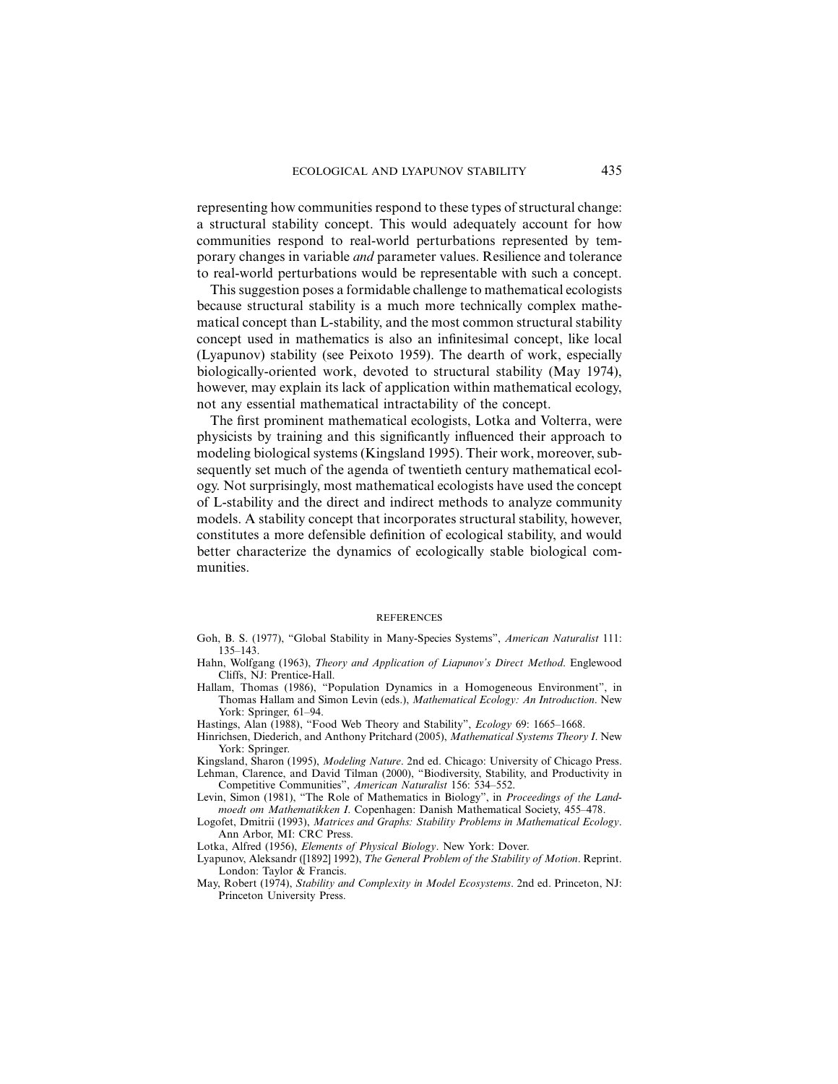representing how communities respond to these types of structural change: a structural stability concept. This would adequately account for how communities respond to real-world perturbations represented by temporary changes in variable *and* parameter values. Resilience and tolerance to real-world perturbations would be representable with such a concept.

This suggestion poses a formidable challenge to mathematical ecologists because structural stability is a much more technically complex mathematical concept than L-stability, and the most common structural stability concept used in mathematics is also an infinitesimal concept, like local (Lyapunov) stability (see Peixoto 1959). The dearth of work, especially biologically-oriented work, devoted to structural stability (May 1974), however, may explain its lack of application within mathematical ecology, not any essential mathematical intractability of the concept.

The first prominent mathematical ecologists, Lotka and Volterra, were physicists by training and this significantly influenced their approach to modeling biological systems (Kingsland 1995). Their work, moreover, subsequently set much of the agenda of twentieth century mathematical ecology. Not surprisingly, most mathematical ecologists have used the concept of L-stability and the direct and indirect methods to analyze community models. A stability concept that incorporates structural stability, however, constitutes a more defensible definition of ecological stability, and would better characterize the dynamics of ecologically stable biological communities.

#### **REFERENCES**

- Goh, B. S. (1977), "Global Stability in Many-Species Systems", *American Naturalist* 111: 135–143.
- Hahn, Wolfgang (1963), *Theory and Application of Liapunov's Direct Method*. Englewood Cliffs, NJ: Prentice-Hall.
- Hallam, Thomas (1986), "Population Dynamics in a Homogeneous Environment", in Thomas Hallam and Simon Levin (eds.), *Mathematical Ecology: An Introduction*. New York: Springer, 61–94.
- Hastings, Alan (1988), "Food Web Theory and Stability", *Ecology* 69: 1665–1668.
- Hinrichsen, Diederich, and Anthony Pritchard (2005), *Mathematical Systems Theory I*. New York: Springer.

Kingsland, Sharon (1995), *Modeling Nature*. 2nd ed. Chicago: University of Chicago Press. Lehman, Clarence, and David Tilman (2000), "Biodiversity, Stability, and Productivity in Competitive Communities", *American Naturalist* 156: 534–552.

- Levin, Simon (1981), "The Role of Mathematics in Biology", in *Proceedings of the Landmoedt om Mathematikken I*. Copenhagen: Danish Mathematical Society, 455–478.
- Logofet, Dmitrii (1993), *Matrices and Graphs: Stability Problems in Mathematical Ecology*. Ann Arbor, MI: CRC Press.
- Lotka, Alfred (1956), *Elements of Physical Biology*. New York: Dover.
- Lyapunov, Aleksandr ([1892] 1992), *The General Problem of the Stability of Motion*. Reprint. London: Taylor & Francis.
- May, Robert (1974), *Stability and Complexity in Model Ecosystems*. 2nd ed. Princeton, NJ: Princeton University Press.